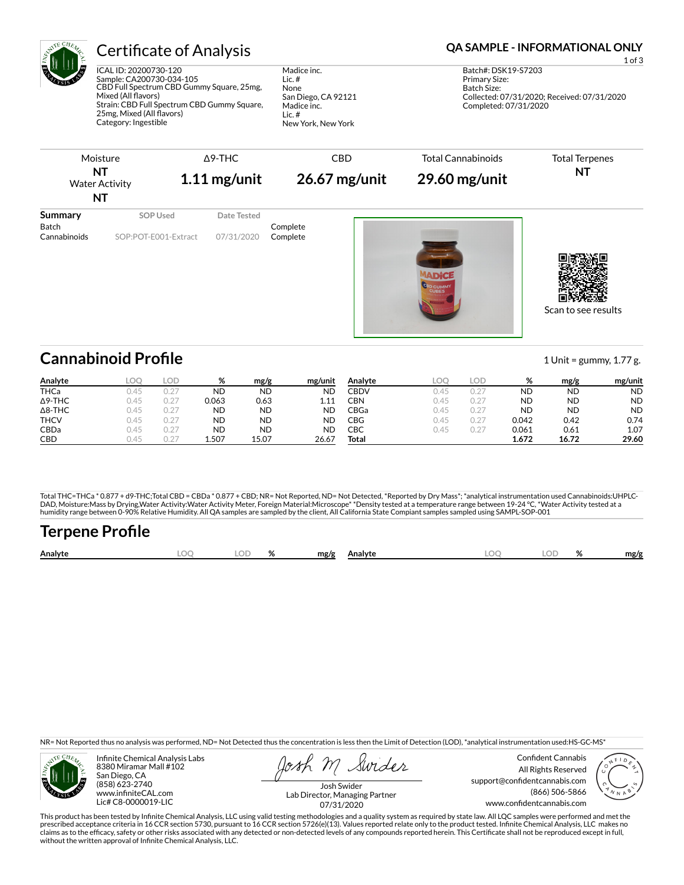

## Certificate of Analysis **Certificate of Analysis QA SAMPLE - INFORMATIONAL ONLY**

ICAL ID: 20200730-120 Sample: CA200730-034-105 CBD Full Spectrum CBD Gummy Square, 25mg, Mixed (All flavors) Strain: CBD Full Spectrum CBD Gummy Square, 25mg, Mixed (All flavors) Category: Ingestible

Madice inc. Lic. # None San Diego, CA 92121 Madice inc. Lic. # New York, New York

1 of 3 Batch#: DSK19-S7203 Primary Size: Batch Size: Collected: 07/31/2020; Received: 07/31/2020 Completed: 07/31/2020

|                         | Moisture<br>NΤ<br><b>Water Activity</b><br>NT |  | $\Delta$ 9-THC<br>$1.11$ mg/unit | <b>CBD</b><br>$26.67$ mg/unit |  | <b>Total Cannabinoids</b><br>$29.60$ mg/unit | <b>Total Terpenes</b><br>NT |  |
|-------------------------|-----------------------------------------------|--|----------------------------------|-------------------------------|--|----------------------------------------------|-----------------------------|--|
| Summary<br><b>Batch</b> | SOP Used                                      |  | Date Tested                      | Complete                      |  |                                              |                             |  |
| Cannabinoids            | SOP:POT-E001-Extract                          |  | 07/31/2020                       | Complete                      |  |                                              |                             |  |



Scan to see results

## **Cannabinoid Profile** 1 Unit = gummy, 1.77 g.

| Analyte        | LOC   | LOD                                    | %     | mg/g      | mg/unit   | Analvte | LOC  | LOD. | %         | mg/g      | mg/unit   |
|----------------|-------|----------------------------------------|-------|-----------|-----------|---------|------|------|-----------|-----------|-----------|
| <b>THCa</b>    | ገ 4 5 | 0.27                                   | ND    | <b>ND</b> | <b>ND</b> | CBDV    | 0.45 | 0.27 | <b>ND</b> | <b>ND</b> | <b>ND</b> |
| $\Delta$ 9-THC | 045   | J.27                                   | 0.063 | 0.63      | 1.11      | CBN     | 0.45 | 0.27 | <b>ND</b> | <b>ND</b> | <b>ND</b> |
| $\Delta$ 8-THC | 045   | J.27                                   | ND    | <b>ND</b> | <b>ND</b> | CBGa    | 0.45 | 0.27 | <b>ND</b> | <b>ND</b> | <b>ND</b> |
| <b>THCV</b>    | 745   | J.27                                   | ND    | <b>ND</b> | <b>ND</b> | CBG     | 0.45 | 0.27 | 0.042     | 0.42      | 0.74      |
| CBDa           | 745   | J.27                                   | ND    | <b>ND</b> | <b>ND</b> | СВС     | 0.45 | 0.27 | 0.061     | 0.61      | 1.07      |
| <b>CBD</b>     | 745   | $\sim$ $-$<br>$\overline{\phantom{a}}$ | 1.507 | 15.07     | 26.67     | Total   |      |      | 1.672     | 16.72     | 29.60     |

Total THC=THCa \* 0.877 + d9-THC;Total CBD = CBDa \* 0.877 + CBD; NR= Not Reported, ND= Not Detected, \*Reported by Dry Mass\*; \*analytical instrumentation used Cannabinoids:UHPLC-DAD, Moisture:Mass by Drying,Water Activity:Water Activity Meter, Foreign Material:Microscope\* \*Density tested at a temperature range between 19-24 °C, \*Water Activity tested at a<br>humidity range between 0-90% Relative Humi

# **Terpene Profile**

| Analyte | ገር | ா | <br>$\sqrt{2}$ | mg/g | Analyte |  | Ω | mg/g |
|---------|----|---|----------------|------|---------|--|---|------|
|         |    |   |                |      |         |  |   |      |

NR= Not Reported thus no analysis was performed, ND= Not Detected thus the concentration is less then the Limit of Detection (LOD), \*analytical instrumentation used:HS-GC-MS\*



Infinite Chemical Analysis Labs 8380 Miramar Mall #102 San Diego, CA (858) 623-2740 www.infiniteCAL.com Lic# C8-0000019-LIC

Swider

Confident Cannabis All Rights Reserved support@confidentcannabis.com (866) 506-5866 www.confidentcannabis.com



Josh Swider Lab Director, Managing Partner 07/31/2020

This product has been tested by Infinite Chemical Analysis, LLC using valid testing methodologies and a quality system as required by state law. All LQC samples were performed and met the prescribed acceptance criteria in 16 CCR section 5730, pursuant to 16 CCR section 5726(e)(13). Values reported relate only to the product tested. Infinite Chemical Analysis, LLC makes no<br>claims as to the efficacy, safety o without the written approval of Infinite Chemical Analysis, LLC.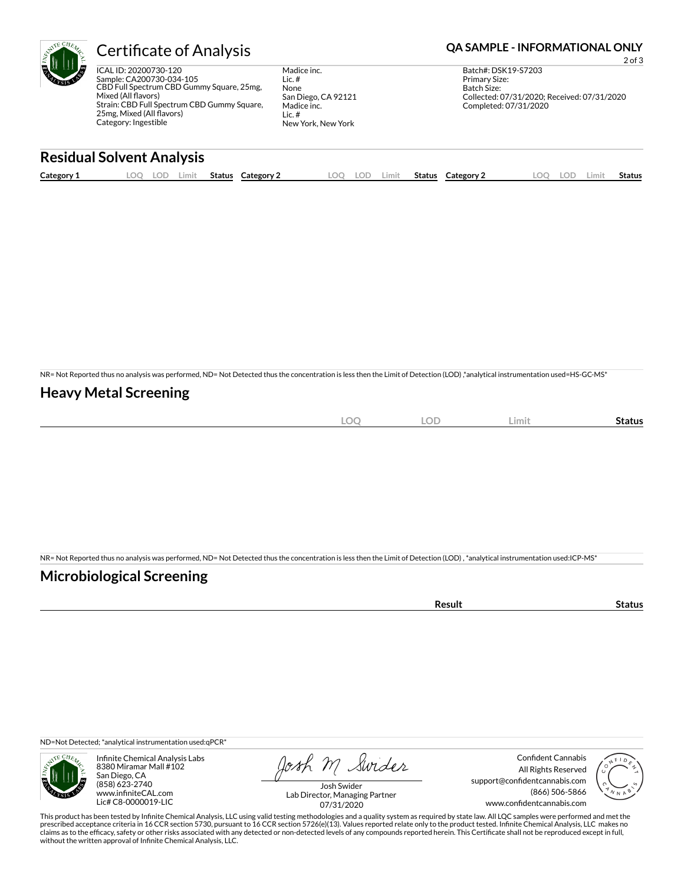

ICAL ID: 20200730-120 Sample: CA200730-034-105 CBD Full Spectrum CBD Gummy Square, 25mg, Mixed (All flavors) Strain: CBD Full Spectrum CBD Gummy Square, 25mg, Mixed (All flavors) Category: Ingestible

Madice inc. Lic. # None San Diego, CA 92121 Madice inc. Lic. # New York, New York

### Certificate of Analysis **Certificate of Analysis QA SAMPLE - INFORMATIONAL ONLY**

2 of 3 Batch#: DSK19-S7203 Primary Size: Batch Size: Collected: 07/31/2020; Received: 07/31/2020 Completed: 07/31/2020

## **Residual Solvent Analysis**

| Category 1 | OO<br>-- | ∟OD | Limit | <b>Status</b> | Category | LOO | loe | ∟imit | <b>Status</b> | Category 2 | O). | LOD. | Limit | Status |
|------------|----------|-----|-------|---------------|----------|-----|-----|-------|---------------|------------|-----|------|-------|--------|
|            |          |     |       |               |          |     |     |       |               |            |     |      |       |        |

NR= Not Reported thus no analysis was performed, ND= Not Detected thus the concentration is less then the Limit of Detection (LOD) ,\*analytical instrumentation used=HS-GC-MS\*

#### **Heavy Metal Screening**

| $\sim$<br>$-$<br>$-\sim$<br>$\sim$ | $\cap$<br>LUD | ∠imit∶ | Status |
|------------------------------------|---------------|--------|--------|
|                                    |               |        |        |

NR= Not Reported thus no analysis was performed, ND= Not Detected thus the concentration is less then the Limit of Detection (LOD) , \*analytical instrumentation used:ICP-MS\*

### **Microbiological Screening**

| ີ °sult |  |
|---------|--|
|         |  |

ND=Not Detected; \*analytical instrumentation used:qPCR\*



Infinite Chemical Analysis Labs 8380 Miramar Mall #102 San Diego, CA (858) 623-2740 www.infiniteCAL.com Lic# C8-0000019-LIC

Josh M Swider

Confident Cannabis All Rights Reserved support@confidentcannabis.com (866) 506-5866 www.confidentcannabis.com



Josh Swider Lab Director, Managing Partner 07/31/2020

This product has been tested by Infinite Chemical Analysis, LLC using valid testing methodologies and a quality system as required by state law. All LQC samples were performed and met the prescribed acceptance criteria in 16 CCR section 5730, pursuant to 16 CCR section 5726(e)(13). Values reported relate only to the product tested. Infinite Chemical Analysis, LLC makes no<br>claims as to the efficacy, safety o without the written approval of Infinite Chemical Analysis, LLC.